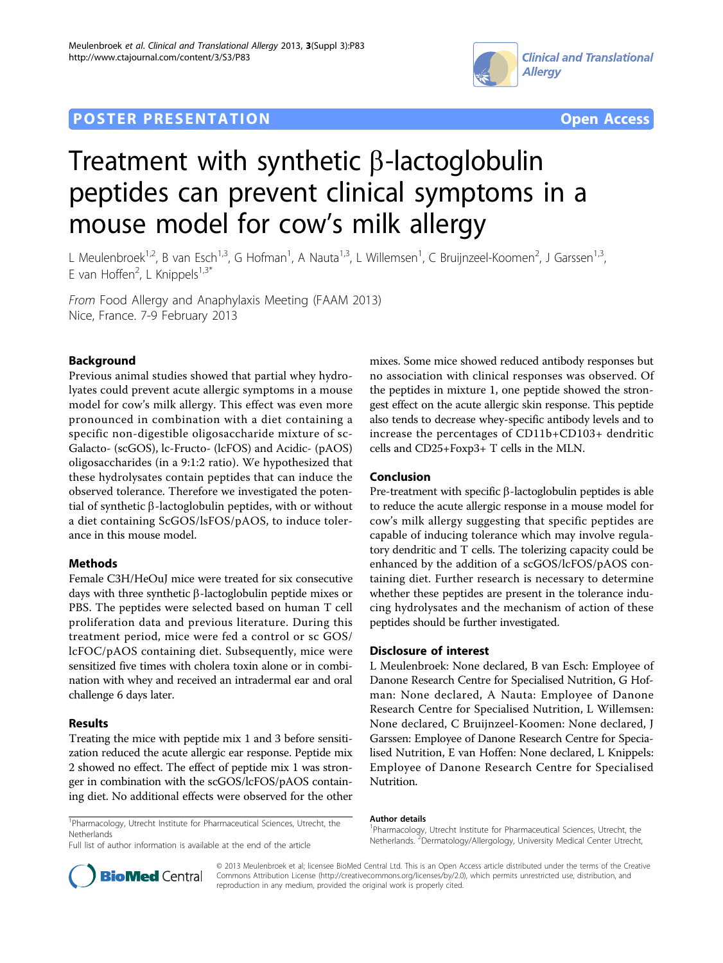# **POSTER PRESENTATION CONSUMING THE SERVICE SERVICE SERVICES COPEN ACCESS**





# Treatment with synthetic  $\beta$ -lactoglobulin peptides can prevent clinical symptoms in a mouse model for cow's milk allergy

L Meulenbroek<sup>1,2</sup>, B van Esch<sup>1,3</sup>, G Hofman<sup>1</sup>, A Nauta<sup>1,3</sup>, L Willemsen<sup>1</sup>, C Bruijnzeel-Koomen<sup>2</sup>, J Garssen<sup>1,3</sup>, E van Hoffen<sup>2</sup>, L Knippels<sup>1,3\*</sup>

From Food Allergy and Anaphylaxis Meeting (FAAM 2013) Nice, France. 7-9 February 2013

## Background

Previous animal studies showed that partial whey hydrolyates could prevent acute allergic symptoms in a mouse model for cow's milk allergy. This effect was even more pronounced in combination with a diet containing a specific non-digestible oligosaccharide mixture of sc-Galacto- (scGOS), lc-Fructo- (lcFOS) and Acidic- (pAOS) oligosaccharides (in a 9:1:2 ratio). We hypothesized that these hydrolysates contain peptides that can induce the observed tolerance. Therefore we investigated the potential of synthetic  $\beta$ -lactoglobulin peptides, with or without a diet containing ScGOS/lsFOS/pAOS, to induce tolerance in this mouse model.

#### Methods

Female C3H/HeOuJ mice were treated for six consecutive days with three synthetic  $\beta$ -lactoglobulin peptide mixes or PBS. The peptides were selected based on human T cell proliferation data and previous literature. During this treatment period, mice were fed a control or sc GOS/ lcFOC/pAOS containing diet. Subsequently, mice were sensitized five times with cholera toxin alone or in combination with whey and received an intradermal ear and oral challenge 6 days later.

## Results

Treating the mice with peptide mix 1 and 3 before sensitization reduced the acute allergic ear response. Peptide mix 2 showed no effect. The effect of peptide mix 1 was stronger in combination with the scGOS/lcFOS/pAOS containing diet. No additional effects were observed for the other mixes. Some mice showed reduced antibody responses but no association with clinical responses was observed. Of the peptides in mixture 1, one peptide showed the strongest effect on the acute allergic skin response. This peptide also tends to decrease whey-specific antibody levels and to increase the percentages of CD11b+CD103+ dendritic cells and CD25+Foxp3+ T cells in the MLN.

### Conclusion

Pre-treatment with specific  $\beta$ -lactoglobulin peptides is able to reduce the acute allergic response in a mouse model for cow's milk allergy suggesting that specific peptides are capable of inducing tolerance which may involve regulatory dendritic and T cells. The tolerizing capacity could be enhanced by the addition of a scGOS/lcFOS/pAOS containing diet. Further research is necessary to determine whether these peptides are present in the tolerance inducing hydrolysates and the mechanism of action of these peptides should be further investigated.

#### Disclosure of interest

L Meulenbroek: None declared, B van Esch: Employee of Danone Research Centre for Specialised Nutrition, G Hofman: None declared, A Nauta: Employee of Danone Research Centre for Specialised Nutrition, L Willemsen: None declared, C Bruijnzeel-Koomen: None declared, J Garssen: Employee of Danone Research Centre for Specialised Nutrition, E van Hoffen: None declared, L Knippels: Employee of Danone Research Centre for Specialised Nutrition.

<sup>1</sup>Pharmacology, Utrecht Institute for Pharmaceutical Sciences, Utrecht, the **Netherlands** 

# Author details

Full list of author information is available at the end of the article

<sup>1</sup>Pharmacology, Utrecht Institute for Pharmaceutical Sciences, Utrecht, the Netherlands.<sup>2</sup> Dermatology/Allergology, University Medical Center Utrecht,



© 2013 Meulenbroek et al; licensee BioMed Central Ltd. This is an Open Access article distributed under the terms of the Creative Commons Attribution License [\(http://creativecommons.org/licenses/by/2.0](http://creativecommons.org/licenses/by/2.0)), which permits unrestricted use, distribution, and reproduction in any medium, provided the original work is properly cited.